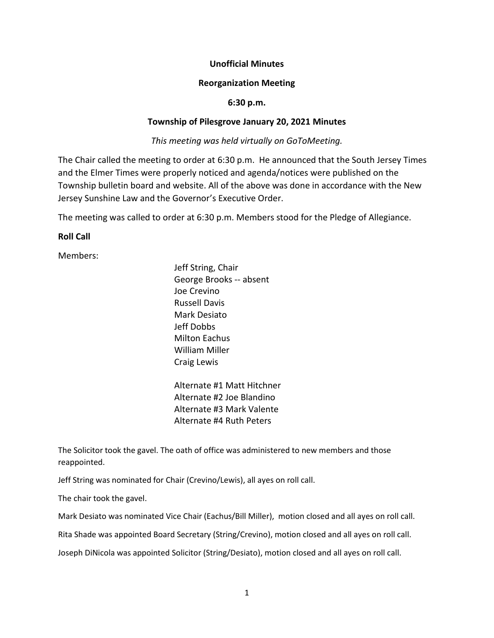# **Unofficial Minutes**

### **Reorganization Meeting**

### **6:30 p.m.**

# **Township of Pilesgrove January 20, 2021 Minutes**

*This meeting was held virtually on GoToMeeting.*

The Chair called the meeting to order at 6:30 p.m. He announced that the South Jersey Times and the Elmer Times were properly noticed and agenda/notices were published on the Township bulletin board and website. All of the above was done in accordance with the New Jersey Sunshine Law and the Governor's Executive Order.

The meeting was called to order at 6:30 p.m. Members stood for the Pledge of Allegiance.

# **Roll Call**

Members:

Jeff String, Chair George Brooks -- absent Joe Crevino Russell Davis Mark Desiato Jeff Dobbs Milton Eachus William Miller Craig Lewis

Alternate #1 Matt Hitchner Alternate #2 Joe Blandino Alternate #3 Mark Valente Alternate #4 Ruth Peters

The Solicitor took the gavel. The oath of office was administered to new members and those reappointed.

Jeff String was nominated for Chair (Crevino/Lewis), all ayes on roll call.

The chair took the gavel.

Mark Desiato was nominated Vice Chair (Eachus/Bill Miller), motion closed and all ayes on roll call.

Rita Shade was appointed Board Secretary (String/Crevino), motion closed and all ayes on roll call.

Joseph DiNicola was appointed Solicitor (String/Desiato), motion closed and all ayes on roll call.